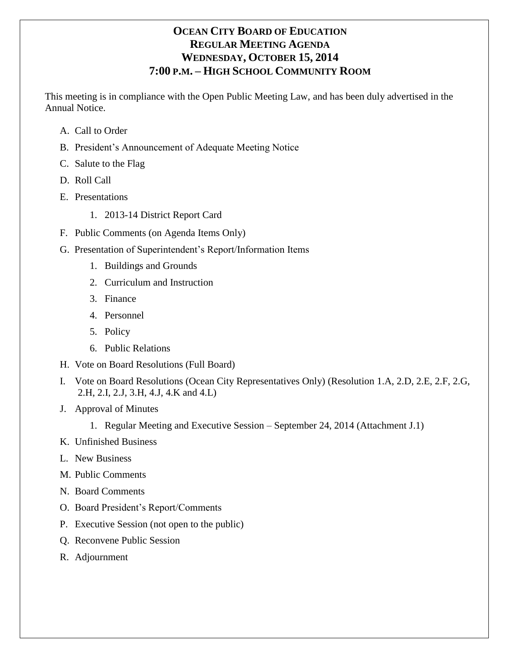# **OCEAN CITY BOARD OF EDUCATION REGULAR MEETING AGENDA WEDNESDAY, OCTOBER 15, 2014 7:00 P.M. – HIGH SCHOOL COMMUNITY ROOM**

This meeting is in compliance with the Open Public Meeting Law, and has been duly advertised in the Annual Notice.

- A. Call to Order
- B. President's Announcement of Adequate Meeting Notice
- C. Salute to the Flag
- D. Roll Call
- E. Presentations
	- 1. 2013-14 District Report Card
- F. Public Comments (on Agenda Items Only)
- G. Presentation of Superintendent's Report/Information Items
	- 1. Buildings and Grounds
	- 2. Curriculum and Instruction
	- 3. Finance
	- 4. Personnel
	- 5. Policy
	- 6. Public Relations
- H. Vote on Board Resolutions (Full Board)
- I. Vote on Board Resolutions (Ocean City Representatives Only) (Resolution 1.A, 2.D, 2.E, 2.F, 2.G, 2.H, 2.I, 2.J, 3.H, 4.J, 4.K and 4.L)
- J. Approval of Minutes
	- 1. Regular Meeting and Executive Session September 24, 2014 (Attachment J.1)
- K. Unfinished Business
- L. New Business
- M. Public Comments
- N. Board Comments
- O. Board President's Report/Comments
- P. Executive Session (not open to the public)
- Q. Reconvene Public Session
- R. Adjournment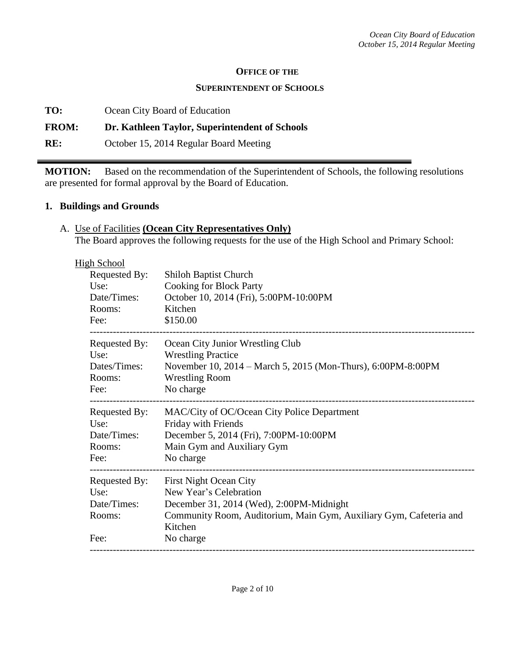#### **OFFICE OF THE**

#### **SUPERINTENDENT OF SCHOOLS**

**TO:** Ocean City Board of Education

## **FROM: Dr. Kathleen Taylor, Superintendent of Schools**

**RE:** October 15, 2014 Regular Board Meeting

**MOTION:** Based on the recommendation of the Superintendent of Schools, the following resolutions are presented for formal approval by the Board of Education.

#### **1. Buildings and Grounds**

A. Use of Facilities **(Ocean City Representatives Only)** The Board approves the following requests for the use of the High School and Primary School:

|  | <b>High School</b> |                                                                    |
|--|--------------------|--------------------------------------------------------------------|
|  | Requested By:      | <b>Shiloh Baptist Church</b>                                       |
|  | Use:               | <b>Cooking for Block Party</b>                                     |
|  | Date/Times:        | October 10, 2014 (Fri), 5:00PM-10:00PM                             |
|  | Rooms:             | Kitchen                                                            |
|  | Fee:               | \$150.00                                                           |
|  | Requested By:      | Ocean City Junior Wrestling Club                                   |
|  | Use:               | <b>Wrestling Practice</b>                                          |
|  | Dates/Times:       | November 10, 2014 – March 5, 2015 (Mon-Thurs), 6:00PM-8:00PM       |
|  | Rooms:             | <b>Wrestling Room</b>                                              |
|  | Fee:               | No charge                                                          |
|  |                    |                                                                    |
|  | Requested By:      | MAC/City of OC/Ocean City Police Department                        |
|  | Use:               | Friday with Friends                                                |
|  | Date/Times:        | December 5, 2014 (Fri), 7:00PM-10:00PM                             |
|  | Rooms:             | Main Gym and Auxiliary Gym                                         |
|  | Fee:               | No charge                                                          |
|  | Requested By:      | <b>First Night Ocean City</b>                                      |
|  | Use:               | New Year's Celebration                                             |
|  | Date/Times:        | December 31, 2014 (Wed), 2:00PM-Midnight                           |
|  | Rooms:             | Community Room, Auditorium, Main Gym, Auxiliary Gym, Cafeteria and |
|  |                    | Kitchen                                                            |
|  | Fee:               | No charge                                                          |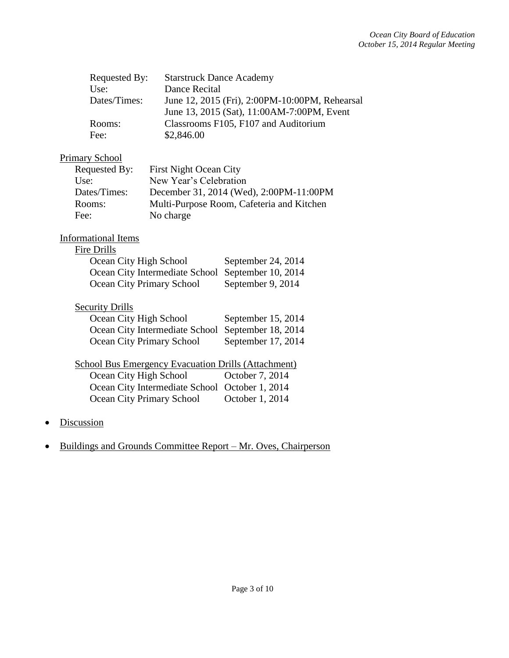| Requested By: | <b>Starstruck Dance Academy</b>                |
|---------------|------------------------------------------------|
| Use:          | Dance Recital                                  |
| Dates/Times:  | June 12, 2015 (Fri), 2:00PM-10:00PM, Rehearsal |
|               | June 13, 2015 (Sat), 11:00AM-7:00PM, Event     |
| Rooms:        | Classrooms F105, F107 and Auditorium           |
| Fee:          | \$2,846.00                                     |

# Primary School

| Requested By: | <b>First Night Ocean City</b>             |
|---------------|-------------------------------------------|
| Use:          | New Year's Celebration                    |
| Dates/Times:  | December 31, 2014 (Wed), 2:00PM-11:00PM   |
| Rooms:        | Multi-Purpose Room, Cafeteria and Kitchen |
| Fee:          | No charge                                 |

## Informational Items

#### Fire Drills

| Ocean City High School                            | September 24, 2014 |
|---------------------------------------------------|--------------------|
| Ocean City Intermediate School September 10, 2014 |                    |
| Ocean City Primary School                         | September 9, 2014  |

#### **Security Drills**

| Ocean City High School                            | September 15, 2014 |
|---------------------------------------------------|--------------------|
| Ocean City Intermediate School September 18, 2014 |                    |
| <b>Ocean City Primary School</b>                  | September 17, 2014 |

# School Bus Emergency Evacuation Drills (Attachment)

| Ocean City High School                         | October 7, 2014 |
|------------------------------------------------|-----------------|
| Ocean City Intermediate School October 1, 2014 |                 |
| Ocean City Primary School                      | October 1, 2014 |

- Discussion
- Buildings and Grounds Committee Report Mr. Oves, Chairperson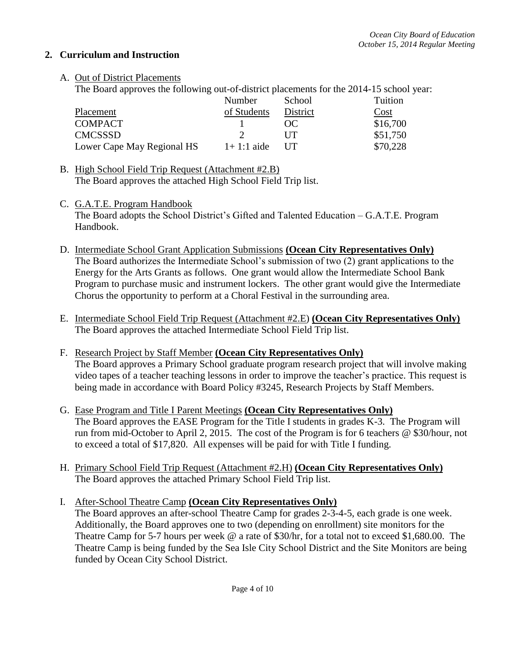## **2. Curriculum and Instruction**

A. Out of District Placements

The Board approves the following out-of-district placements for the 2014-15 school year:

|                            | Number       | School     | Tuition  |
|----------------------------|--------------|------------|----------|
| Placement                  | of Students  | District   | Cost     |
| <b>COMPACT</b>             |              | $\Omega$   | \$16,700 |
| <b>CMCSSSD</b>             |              | I IT       | \$51,750 |
| Lower Cape May Regional HS | $1+1:1$ aide | <b>IIT</b> | \$70,228 |

- B. High School Field Trip Request (Attachment #2.B) The Board approves the attached High School Field Trip list.
- C. G.A.T.E. Program Handbook

The Board adopts the School District's Gifted and Talented Education – G.A.T.E. Program Handbook.

- D. Intermediate School Grant Application Submissions **(Ocean City Representatives Only)** The Board authorizes the Intermediate School's submission of two (2) grant applications to the Energy for the Arts Grants as follows. One grant would allow the Intermediate School Bank Program to purchase music and instrument lockers. The other grant would give the Intermediate Chorus the opportunity to perform at a Choral Festival in the surrounding area.
- E. Intermediate School Field Trip Request (Attachment #2.E) **(Ocean City Representatives Only)** The Board approves the attached Intermediate School Field Trip list.
- F. Research Project by Staff Member **(Ocean City Representatives Only)** The Board approves a Primary School graduate program research project that will involve making video tapes of a teacher teaching lessons in order to improve the teacher's practice. This request is being made in accordance with Board Policy #3245, Research Projects by Staff Members.
- G. Ease Program and Title I Parent Meetings **(Ocean City Representatives Only)** The Board approves the EASE Program for the Title I students in grades K-3. The Program will run from mid-October to April 2, 2015. The cost of the Program is for 6 teachers @ \$30/hour, not to exceed a total of \$17,820. All expenses will be paid for with Title I funding.
- H. Primary School Field Trip Request (Attachment #2.H) **(Ocean City Representatives Only)** The Board approves the attached Primary School Field Trip list.
- I. After-School Theatre Camp **(Ocean City Representatives Only)** The Board approves an after-school Theatre Camp for grades 2-3-4-5, each grade is one week. Additionally, the Board approves one to two (depending on enrollment) site monitors for the Theatre Camp for 5-7 hours per week @ a rate of \$30/hr, for a total not to exceed \$1,680.00. The Theatre Camp is being funded by the Sea Isle City School District and the Site Monitors are being funded by Ocean City School District.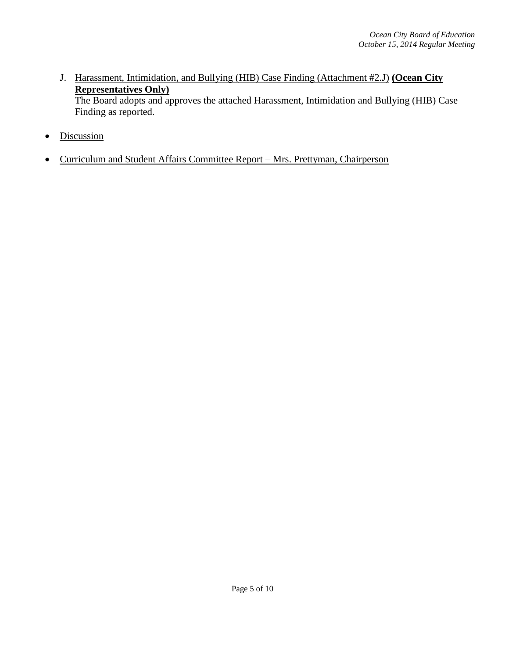J. Harassment, Intimidation, and Bullying (HIB) Case Finding (Attachment #2.J) **(Ocean City Representatives Only)**

The Board adopts and approves the attached Harassment, Intimidation and Bullying (HIB) Case Finding as reported.

- Discussion
- Curriculum and Student Affairs Committee Report Mrs. Prettyman, Chairperson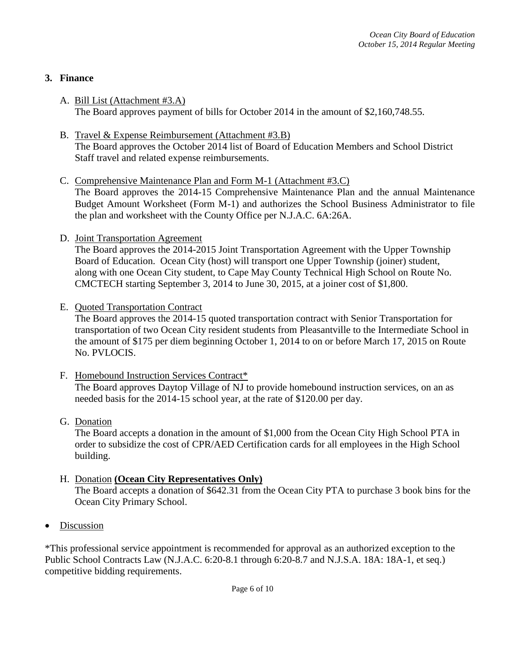# **3. Finance**

- A. Bill List (Attachment #3.A) The Board approves payment of bills for October 2014 in the amount of \$2,160,748.55.
- B. Travel & Expense Reimbursement (Attachment #3.B) The Board approves the October 2014 list of Board of Education Members and School District Staff travel and related expense reimbursements.
- C. Comprehensive Maintenance Plan and Form M-1 (Attachment #3.C) The Board approves the 2014-15 Comprehensive Maintenance Plan and the annual Maintenance Budget Amount Worksheet (Form M-1) and authorizes the School Business Administrator to file the plan and worksheet with the County Office per N.J.A.C. 6A:26A.
- D. Joint Transportation Agreement

The Board approves the 2014-2015 Joint Transportation Agreement with the Upper Township Board of Education. Ocean City (host) will transport one Upper Township (joiner) student, along with one Ocean City student, to Cape May County Technical High School on Route No. CMCTECH starting September 3, 2014 to June 30, 2015, at a joiner cost of \$1,800.

E. Quoted Transportation Contract

The Board approves the 2014-15 quoted transportation contract with Senior Transportation for transportation of two Ocean City resident students from Pleasantville to the Intermediate School in the amount of \$175 per diem beginning October 1, 2014 to on or before March 17, 2015 on Route No. PVLOCIS.

- F. Homebound Instruction Services Contract\* The Board approves Daytop Village of NJ to provide homebound instruction services, on an as needed basis for the 2014-15 school year, at the rate of \$120.00 per day.
- G. Donation

The Board accepts a donation in the amount of \$1,000 from the Ocean City High School PTA in order to subsidize the cost of CPR/AED Certification cards for all employees in the High School building.

- H. Donation **(Ocean City Representatives Only)** The Board accepts a donation of \$642.31 from the Ocean City PTA to purchase 3 book bins for the Ocean City Primary School.
- Discussion

\*This professional service appointment is recommended for approval as an authorized exception to the Public School Contracts Law (N.J.A.C. 6:20-8.1 through 6:20-8.7 and N.J.S.A. 18A: 18A-1, et seq.) competitive bidding requirements.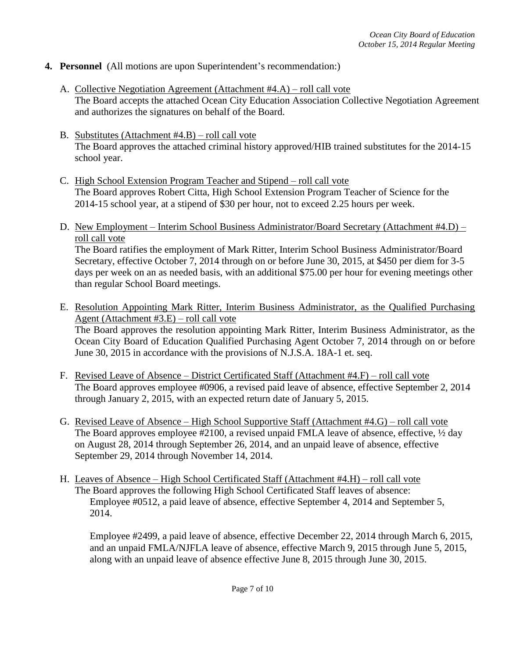- **4. Personnel** (All motions are upon Superintendent's recommendation:)
	- A. Collective Negotiation Agreement (Attachment #4.A) roll call vote The Board accepts the attached Ocean City Education Association Collective Negotiation Agreement and authorizes the signatures on behalf of the Board.
	- B. Substitutes (Attachment #4.B) roll call vote The Board approves the attached criminal history approved/HIB trained substitutes for the 2014-15 school year.
	- C. High School Extension Program Teacher and Stipend roll call vote The Board approves Robert Citta, High School Extension Program Teacher of Science for the 2014-15 school year, at a stipend of \$30 per hour, not to exceed 2.25 hours per week.
	- D. New Employment Interim School Business Administrator/Board Secretary (Attachment #4.D) roll call vote

The Board ratifies the employment of Mark Ritter, Interim School Business Administrator/Board Secretary, effective October 7, 2014 through on or before June 30, 2015, at \$450 per diem for 3-5 days per week on an as needed basis, with an additional \$75.00 per hour for evening meetings other than regular School Board meetings.

- E. Resolution Appointing Mark Ritter, Interim Business Administrator, as the Qualified Purchasing Agent (Attachment #3.E) – roll call vote The Board approves the resolution appointing Mark Ritter, Interim Business Administrator, as the Ocean City Board of Education Qualified Purchasing Agent October 7, 2014 through on or before June 30, 2015 in accordance with the provisions of N.J.S.A. 18A-1 et. seq.
- F. Revised Leave of Absence District Certificated Staff (Attachment #4.F) roll call vote The Board approves employee #0906, a revised paid leave of absence, effective September 2, 2014 through January 2, 2015, with an expected return date of January 5, 2015.
- G. Revised Leave of Absence High School Supportive Staff (Attachment #4.G) roll call vote The Board approves employee #2100, a revised unpaid FMLA leave of absence, effective,  $\frac{1}{2}$  day on August 28, 2014 through September 26, 2014, and an unpaid leave of absence, effective September 29, 2014 through November 14, 2014.
- H. Leaves of Absence High School Certificated Staff (Attachment #4.H) roll call vote The Board approves the following High School Certificated Staff leaves of absence: Employee #0512, a paid leave of absence, effective September 4, 2014 and September 5, 2014.

Employee #2499, a paid leave of absence, effective December 22, 2014 through March 6, 2015, and an unpaid FMLA/NJFLA leave of absence, effective March 9, 2015 through June 5, 2015, along with an unpaid leave of absence effective June 8, 2015 through June 30, 2015.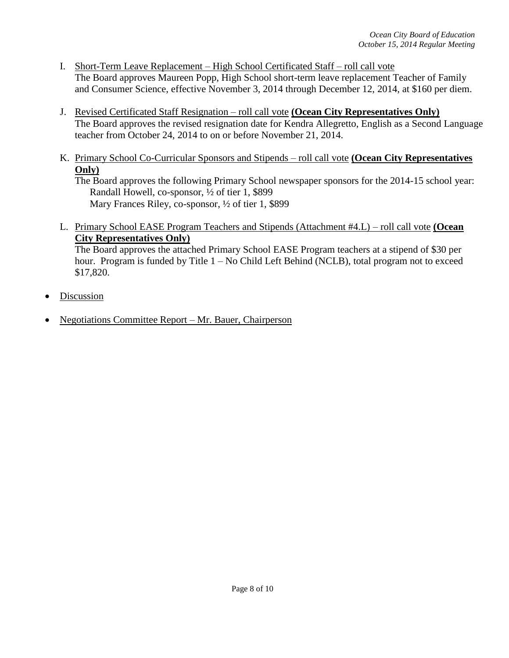- I. Short-Term Leave Replacement High School Certificated Staff roll call vote The Board approves Maureen Popp, High School short-term leave replacement Teacher of Family and Consumer Science, effective November 3, 2014 through December 12, 2014, at \$160 per diem.
- J. Revised Certificated Staff Resignation roll call vote **(Ocean City Representatives Only)** The Board approves the revised resignation date for Kendra Allegretto, English as a Second Language teacher from October 24, 2014 to on or before November 21, 2014.
- K. Primary School Co-Curricular Sponsors and Stipends roll call vote **(Ocean City Representatives Only)**

The Board approves the following Primary School newspaper sponsors for the 2014-15 school year: Randall Howell, co-sponsor, ½ of tier 1, \$899 Mary Frances Riley, co-sponsor, <sup>1</sup>/<sub>2</sub> of tier 1, \$899

L. Primary School EASE Program Teachers and Stipends (Attachment #4.L) – roll call vote **(Ocean City Representatives Only)**

The Board approves the attached Primary School EASE Program teachers at a stipend of \$30 per hour. Program is funded by Title 1 – No Child Left Behind (NCLB), total program not to exceed \$17,820.

- Discussion
- Negotiations Committee Report Mr. Bauer, Chairperson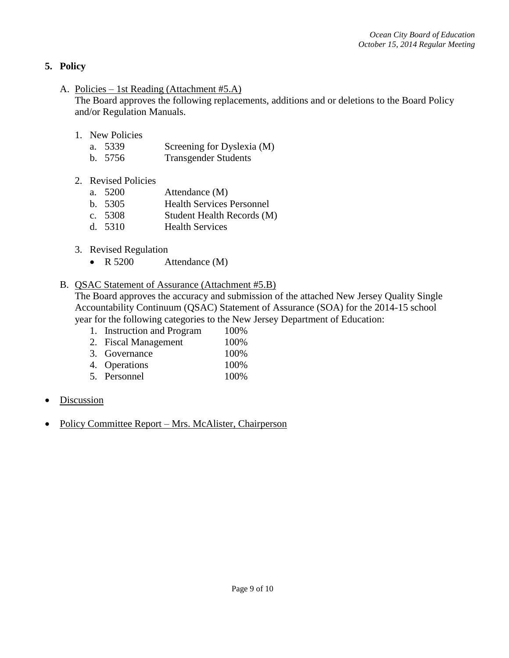# **5. Policy**

A. Policies – 1st Reading (Attachment #5.A)

The Board approves the following replacements, additions and or deletions to the Board Policy and/or Regulation Manuals.

- 1. New Policies
	- a. 5339 Screening for Dyslexia (M)
	- b. 5756 Transgender Students
- 2. Revised Policies

| a. 5200 | Attendance (M) |
|---------|----------------|
|         |                |

- b. 5305 Health Services Personnel
- c. 5308 Student Health Records (M)
- d. 5310 Health Services
- 3. Revised Regulation
	- R 5200 Attendance (M)

### B. QSAC Statement of Assurance (Attachment #5.B)

The Board approves the accuracy and submission of the attached New Jersey Quality Single Accountability Continuum (QSAC) Statement of Assurance (SOA) for the 2014-15 school year for the following categories to the New Jersey Department of Education:

- 1. Instruction and Program 100%
- 2. Fiscal Management 100%
- 3. Governance 100%
- 4. Operations 100%
- 5. Personnel 100%
- Discussion
- Policy Committee Report Mrs. McAlister, Chairperson